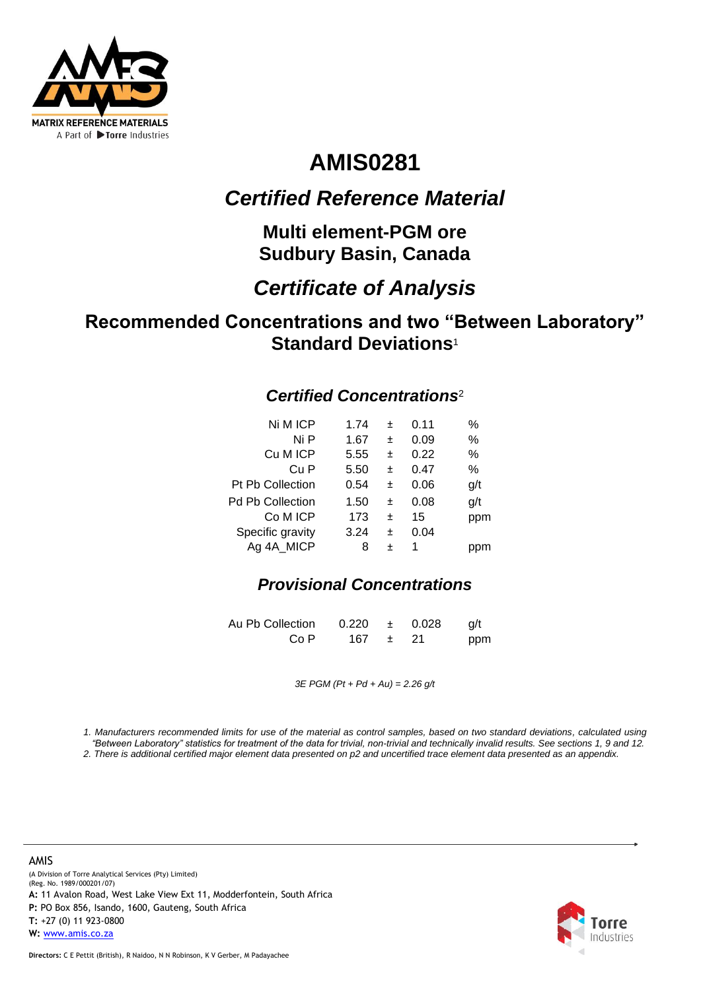

# **AMIS0281**

## *Certified Reference Material*

**Multi element-PGM ore Sudbury Basin, Canada**

## *Certificate of Analysis*

## **Recommended Concentrations and two "Between Laboratory" Standard Deviations**<sup>1</sup>

### *Certified Concentrations*<sup>2</sup>

| Ni M ICP                | 1.74 | +         | 0.11 | $\%$ |
|-------------------------|------|-----------|------|------|
| Ni P                    | 1.67 | +         | 0.09 | %    |
| Cu M ICP                | 5.55 | $\ddot{}$ | 0.22 | %    |
| Cu P                    | 5.50 | +         | 0.47 | %    |
| <b>Pt Pb Collection</b> | 0.54 | +         | 0.06 | g/t  |
| Pd Pb Collection        | 1.50 | 土         | 0.08 | g/t  |
| Co M ICP                | 173  | 土         | 15   | ppm  |
| Specific gravity        | 3.24 | 土         | 0.04 |      |
| Ag 4A MICP              | 8    | +         | 1    |      |
|                         |      |           |      |      |

### *Provisional Concentrations*

Au Pb Collection  $0.220 \pm 0.028$  g/t Co P 167  $\pm$  21 ppm

*3E PGM (Pt + Pd + Au) = 2.26 g/t*

*1. Manufacturers recommended limits for use of the material as control samples, based on two standard deviations, calculated using "Between Laboratory" statistics for treatment of the data for trivial, non-trivial and technically invalid results. See sections 1, 9 and 12.*

*2. There is additional certified major element data presented on p2 and uncertified trace element data presented as an appendix.*

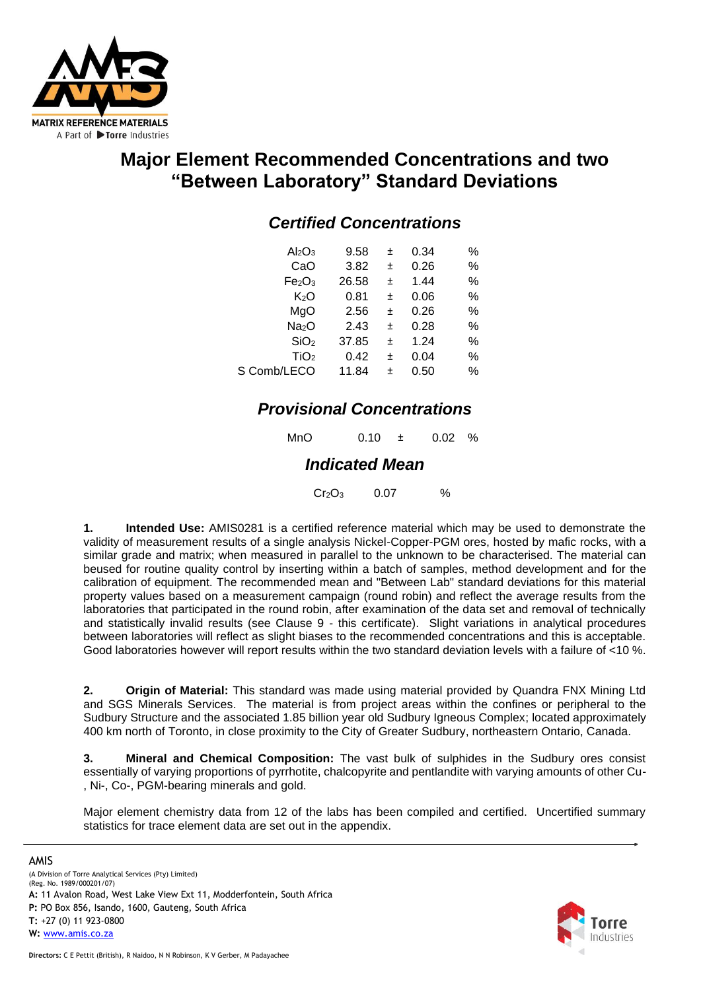

## **Major Element Recommended Concentrations and two "Between Laboratory" Standard Deviations**

### *Certified Concentrations*

| Al <sub>2</sub> O <sub>3</sub> | 9.58  | Ŧ | 0.34 | ℅    |
|--------------------------------|-------|---|------|------|
| CaO                            | 3.82  | 土 | 0.26 | %    |
| Fe <sub>2</sub> O <sub>3</sub> | 26.58 | Ŧ | 1.44 | %    |
| K <sub>2</sub> O               | 0.81  | 土 | 0.06 | $\%$ |
| MgO                            | 2.56  | Ŧ | 0.26 | %    |
| Na <sub>2</sub> O              | 2.43  | 土 | 0.28 | %    |
| SiO <sub>2</sub>               | 37.85 | Ŧ | 1.24 | %    |
| TiO <sub>2</sub>               | 0.42  | 土 | 0.04 | %    |
| S Comb/LECO                    | 11.84 | + | 0.50 | %    |

### *Provisional Concentrations*

| MnO | 0.10 | $0.02\%$ |  |
|-----|------|----------|--|
|     |      |          |  |

### *Indicated Mean*

 $Cr_2O_3$  0.07 %

**1. Intended Use:** AMIS0281 is a certified reference material which may be used to demonstrate the validity of measurement results of a single analysis Nickel-Copper-PGM ores, hosted by mafic rocks, with a similar grade and matrix; when measured in parallel to the unknown to be characterised. The material can beused for routine quality control by inserting within a batch of samples, method development and for the calibration of equipment. The recommended mean and "Between Lab" standard deviations for this material property values based on a measurement campaign (round robin) and reflect the average results from the laboratories that participated in the round robin, after examination of the data set and removal of technically and statistically invalid results (see Clause 9 - this certificate). Slight variations in analytical procedures between laboratories will reflect as slight biases to the recommended concentrations and this is acceptable. Good laboratories however will report results within the two standard deviation levels with a failure of <10 %.

**2. Origin of Material:** This standard was made using material provided by Quandra FNX Mining Ltd and SGS Minerals Services. The material is from project areas within the confines or peripheral to the Sudbury Structure and the associated 1.85 billion year old Sudbury Igneous Complex; located approximately 400 km north of Toronto, in close proximity to the City of Greater Sudbury, northeastern Ontario, Canada.

**3. Mineral and Chemical Composition:** The vast bulk of sulphides in the Sudbury ores consist essentially of varying proportions of pyrrhotite, chalcopyrite and pentlandite with varying amounts of other Cu- , Ni-, Co-, PGM-bearing minerals and gold.

Major element chemistry data from 12 of the labs has been compiled and certified. Uncertified summary statistics for trace element data are set out in the appendix.

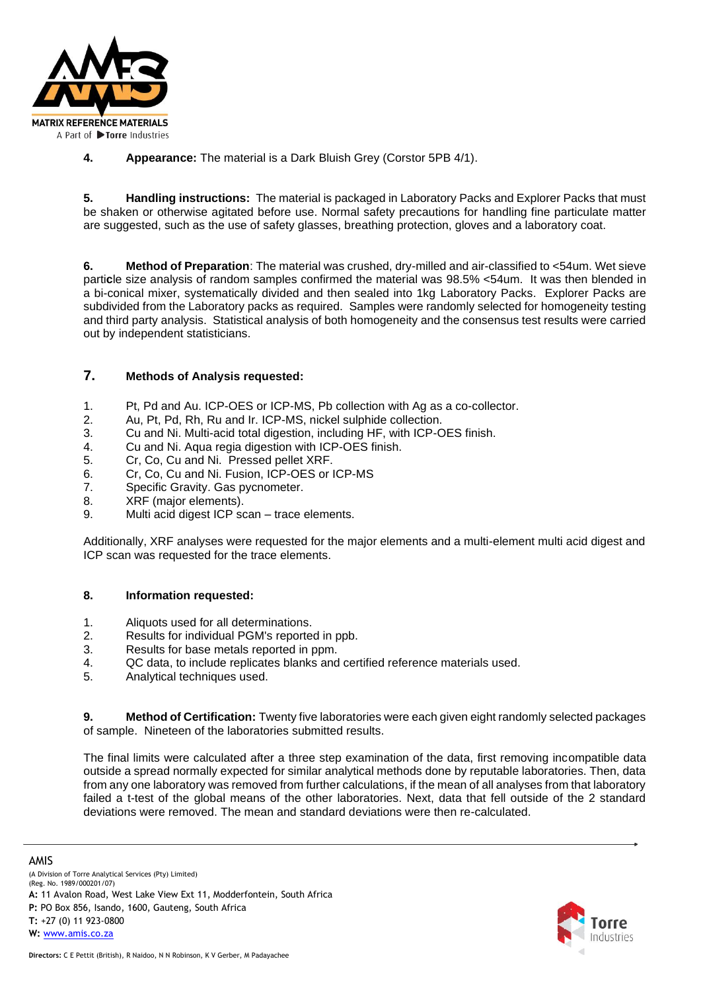

**4. Appearance:** The material is a Dark Bluish Grey (Corstor 5PB 4/1).

**5. Handling instructions:** The material is packaged in Laboratory Packs and Explorer Packs that must be shaken or otherwise agitated before use. Normal safety precautions for handling fine particulate matter are suggested, such as the use of safety glasses, breathing protection, gloves and a laboratory coat.

**6. Method of Preparation**: The material was crushed, dry-milled and air-classified to <54um. Wet sieve parti**c**le size analysis of random samples confirmed the material was 98.5% <54um. It was then blended in a bi-conical mixer, systematically divided and then sealed into 1kg Laboratory Packs. Explorer Packs are subdivided from the Laboratory packs as required. Samples were randomly selected for homogeneity testing and third party analysis. Statistical analysis of both homogeneity and the consensus test results were carried out by independent statisticians.

#### **7. Methods of Analysis requested:**

- 1. Pt, Pd and Au. ICP-OES or ICP-MS, Pb collection with Ag as a co-collector.
- 2. Au, Pt, Pd, Rh, Ru and Ir. ICP-MS, nickel sulphide collection.
- 3. Cu and Ni. Multi-acid total digestion, including HF, with ICP-OES finish.
- 4. Cu and Ni. Aqua regia digestion with ICP-OES finish.
- 5. Cr, Co, Cu and Ni. Pressed pellet XRF.
- 6. Cr, Co, Cu and Ni. Fusion, ICP-OES or ICP-MS
- 7. Specific Gravity. Gas pycnometer.
- 8. XRF (major elements).
- 9. Multi acid digest ICP scan trace elements.

Additionally, XRF analyses were requested for the major elements and a multi-element multi acid digest and ICP scan was requested for the trace elements.

#### **8. Information requested:**

- 1. Aliquots used for all determinations.
- 2. Results for individual PGM's reported in ppb.
- 3. Results for base metals reported in ppm.
- 4. QC data, to include replicates blanks and certified reference materials used.
- 5. Analytical techniques used.

**9. Method of Certification:** Twenty five laboratories were each given eight randomly selected packages of sample. Nineteen of the laboratories submitted results.

The final limits were calculated after a three step examination of the data, first removing incompatible data outside a spread normally expected for similar analytical methods done by reputable laboratories. Then, data from any one laboratory was removed from further calculations, if the mean of all analyses from that laboratory failed a t-test of the global means of the other laboratories. Next, data that fell outside of the 2 standard deviations were removed. The mean and standard deviations were then re-calculated.

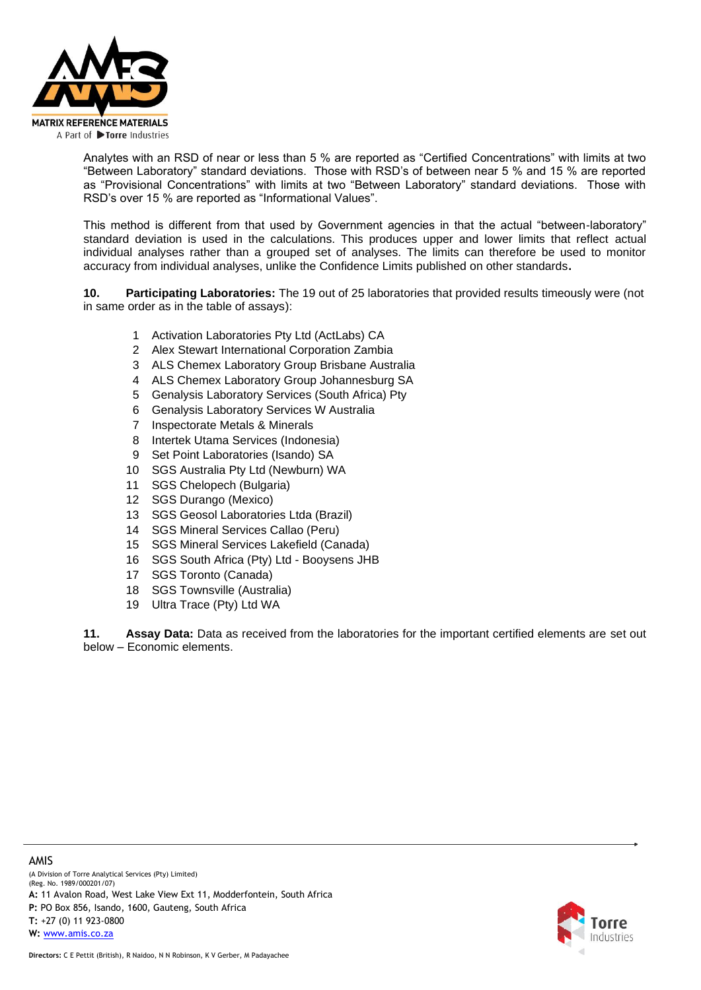

Analytes with an RSD of near or less than 5 % are reported as "Certified Concentrations" with limits at two "Between Laboratory" standard deviations. Those with RSD's of between near 5 % and 15 % are reported as "Provisional Concentrations" with limits at two "Between Laboratory" standard deviations. Those with RSD's over 15 % are reported as "Informational Values".

This method is different from that used by Government agencies in that the actual "between-laboratory" standard deviation is used in the calculations. This produces upper and lower limits that reflect actual individual analyses rather than a grouped set of analyses. The limits can therefore be used to monitor accuracy from individual analyses, unlike the Confidence Limits published on other standards**.**

**10. Participating Laboratories:** The 19 out of 25 laboratories that provided results timeously were (not in same order as in the table of assays):

- 1 Activation Laboratories Pty Ltd (ActLabs) CA
- 2 Alex Stewart International Corporation Zambia
- 3 ALS Chemex Laboratory Group Brisbane Australia
- 4 ALS Chemex Laboratory Group Johannesburg SA
- 5 Genalysis Laboratory Services (South Africa) Pty
- 6 Genalysis Laboratory Services W Australia
- 7 Inspectorate Metals & Minerals
- 8 Intertek Utama Services (Indonesia)
- 9 Set Point Laboratories (Isando) SA
- 10 SGS Australia Pty Ltd (Newburn) WA
- 11 SGS Chelopech (Bulgaria)
- 12 SGS Durango (Mexico)
- 13 SGS Geosol Laboratories Ltda (Brazil)
- 14 SGS Mineral Services Callao (Peru)
- 15 SGS Mineral Services Lakefield (Canada)
- 16 SGS South Africa (Pty) Ltd Booysens JHB
- 17 SGS Toronto (Canada)
- 18 SGS Townsville (Australia)
- 19 Ultra Trace (Pty) Ltd WA

**11. Assay Data:** Data as received from the laboratories for the important certified elements are set out below – Economic elements.

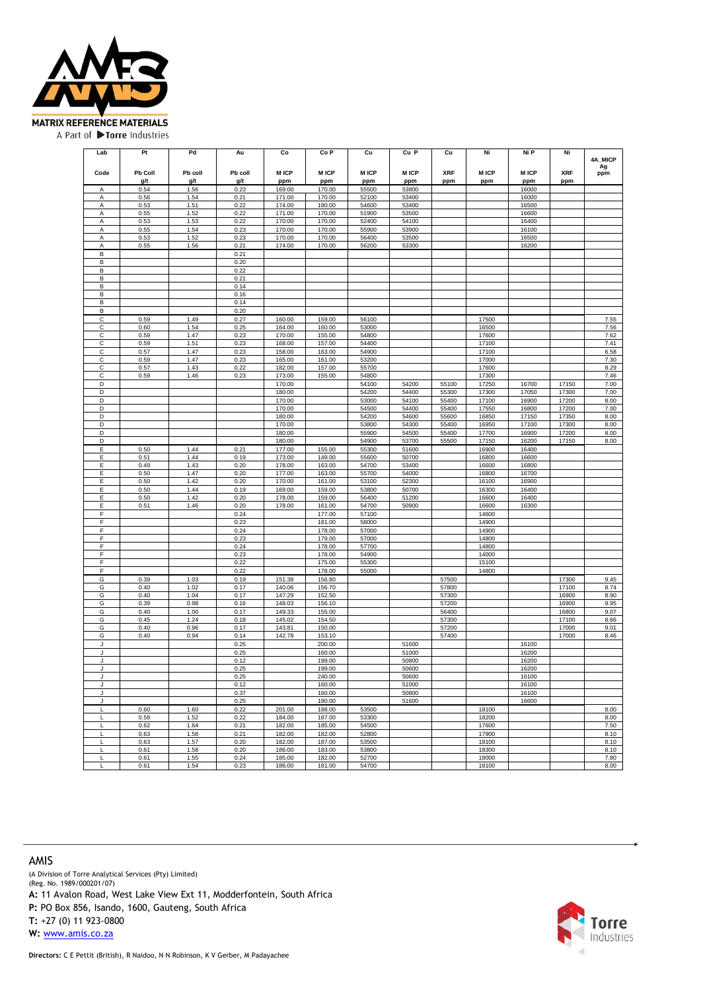

| Lab     | Pt      | Pd      | Au           | Co          | Co <sub>P</sub>  | Cu             | Cu P        | Cu         | Ni             | Ni P        | Ni         |              |
|---------|---------|---------|--------------|-------------|------------------|----------------|-------------|------------|----------------|-------------|------------|--------------|
|         |         |         |              |             |                  |                |             |            |                |             |            | 4A MICP      |
| Code    | Pb Coll | Pb coll | Pb coll      | <b>MICP</b> | <b>MICP</b>      | <b>MICP</b>    | <b>MICP</b> | <b>XRF</b> | <b>MICP</b>    | <b>MICP</b> | <b>XRF</b> | Ag<br>ppm    |
|         | g/t     | g/t     | g/t          | ppm         | ppm              | ppm            | ppm         | ppm        | ppm            | ppm         | ppm        |              |
| A       | 0.54    | 1.56    | 0.23         | 169.00      | 170.00           | 55500          | 53800       |            |                | 16000       |            |              |
| A       | 0.56    | 1.54    | 0.21         | 171.00      | 170.00           | 52100          | 53400       |            |                | 16000       |            |              |
| Α       | 0.53    | 1.51    | 0.22         | 174.00      | 180.00           | 54600          | 53400       |            |                | 16500       |            |              |
| Α       | 0.55    | 1.52    | 0.22         | 171.00      | 170.00           | 51900          | 53500       |            |                | 16600       |            |              |
| Α       | 0.53    | 1.53    | 0.22         | 170.00      | 170.00           | 52400          | 54100       |            |                | 16400       |            |              |
| A       | 0.55    | 1.54    | 0.23         | 170.00      | 170.00           | 55900          | 53900       |            |                | 16100       |            |              |
| Α       | 0.53    | 1.52    | 0.23         | 170.00      | 170.00           | 56400          | 53500       |            |                | 16500       |            |              |
| Α       | 0.55    | 1.56    | 0.21         | 174.00      | 170.00           | 56200          | 53300       |            |                | 16200       |            |              |
| B       |         |         | 0.21         |             |                  |                |             |            |                |             |            |              |
| B       |         |         | 0.20         |             |                  |                |             |            |                |             |            |              |
| в       |         |         | 0.22         |             |                  |                |             |            |                |             |            |              |
| B       |         |         | 0.21         |             |                  |                |             |            |                |             |            |              |
| в       |         |         | 0.14         |             |                  |                |             |            |                |             |            |              |
| В       |         |         | 0.16         |             |                  |                |             |            |                |             |            |              |
| B       |         |         | 0.14         |             |                  |                |             |            |                |             |            |              |
| в       |         |         | 0.20         |             |                  |                |             |            |                |             |            |              |
| C       | 0.59    | 1.49    | 0.27         | 160.00      | 159.00           | 56100          |             |            | 17500          |             |            | 7.55         |
| C       | 0.60    | 1.54    | 0.25         | 164.00      | 160.00           | 53000          |             |            | 16500          |             |            | 7.56         |
| C       | 0.59    | 1.47    | 0.23         | 170.00      | 155.00           | 54800          |             |            | 17600          |             |            | 7.62         |
| C       | 0.59    | 1.51    | 0.23         | 168.00      | 157.00           | 54400          |             |            | 17100          |             |            | 7.41         |
| С       | 0.57    | 1.47    | 0.23         | 158.00      | 163.00           | 54900          |             |            | 17100          |             |            | 6.58         |
| C       | 0.59    | 1.47    | 0.23         | 165.00      | 161.00           | 53200          |             |            | 17000          |             |            | 7.30         |
| С       | 0.57    | 1.43    | 0.22         | 182.00      | 157.00           | 55700          |             |            | 17600          |             |            | 8.29         |
| C       | 0.59    | 1.46    | 0.23         | 173.00      | 155.00           | 54800          |             |            | 17300          |             |            | 7.46         |
| D       |         |         |              | 170.00      |                  | 54100          | 54200       | 55100      | 17250          | 16700       | 17150      | 7.00         |
| D       |         |         |              | 180.00      |                  | 54200          | 54400       | 55300      | 17300          | 17050       | 17300      | 7.00         |
| D       |         |         |              | 170.00      |                  | 53000          | 54100       | 55400      | 17100          | 16900       | 17200      | 8.00         |
| D       |         |         |              | 170.00      |                  | 54500          | 54400       | 55400      | 17550          | 16800       | 17200      | 7.00         |
| D       |         |         |              | 180.00      |                  | 54200          | 54600       | 55600      | 16850          | 17150       | 17350      | 8.00         |
| D       |         |         |              | 170.00      |                  | 53800          | 54300       | 55400      | 16950          | 17100       | 17300      | 8.00         |
| D       |         |         |              | 180.00      |                  | 55900          | 54500       | 55400      | 17700          | 16900       | 17200      | 8.00         |
| D       |         |         |              | 180.00      |                  | 54900          | 53700       | 55500      | 17150          | 16200       | 17150      | 8.00         |
| Ε       | 0.50    | 1.44    | 0.21         | 177.00      | 155.00           | 55300          | 51600       |            | 16900          | 16400       |            |              |
| Е       | 0.51    | 1.44    | 0.19         | 173.00      | 149.00           | 55600          | 50700       |            | 16800          | 16600       |            |              |
| Ε       | 0.49    | 1.43    | 0.20         | 178.00      | 163.00           | 54700          | 53400       |            | 16600          | 16800       |            |              |
| Е       | 0.50    | 1.47    | 0.20         | 177.00      | 163.00           | 55700          | 54000       |            | 16800          | 16700       |            |              |
| Ε       | 0.50    | 1.42    | 0.20         | 170.00      | 161.00           | 53100          | 52300       |            | 16100          | 16900       |            |              |
| Ε       | 0.50    | 1.44    | 0.19         | 169.00      | 159.00           | 53800          | 50700       |            | 16300          | 16400       |            |              |
| Е       | 0.50    | 1.42    | 0.20         | 178.00      | 159.00           | 56400          | 51200       |            | 16600          | 16400       |            |              |
| E       | 0.51    | 1.46    | 0.20         | 178.00      | 161.00           | 54700          | 50900       |            | 16600          | 16300       |            |              |
| F       |         |         | 0.24         |             | 177.00           | 57100          |             |            | 14600          |             |            |              |
| F       |         |         | 0.23         |             | 181.00           | 58000          |             |            | 14900          |             |            |              |
| F       |         |         | 0.24         |             | 178.00           | 57000          |             |            | 14900          |             |            |              |
| F<br>F  |         |         | 0.23         |             | 179.00           | 57000          |             |            | 14800          |             |            |              |
| F       |         |         | 0.24<br>0.23 |             | 178.00<br>178.00 | 57700<br>54900 |             |            | 14800<br>14000 |             |            |              |
| F       |         |         |              |             |                  |                |             |            |                |             |            |              |
| F       |         |         | 0.22<br>0.22 |             | 175.00<br>178.00 | 55300<br>55000 |             |            | 15100<br>14800 |             |            |              |
| G       | 0.39    | 1.03    | 0.19         | 151.38      | 156.80           |                |             | 57500      |                |             | 17300      |              |
| G       | 0.40    | 1.02    | 0.17         | 140.06      | 156.70           |                |             | 57800      |                |             | 17100      | 9.45<br>8.74 |
| G       | 0.40    | 1.04    | 0.17         | 147.29      | 152.50           |                |             | 57300      |                |             | 16900      | 8.90         |
| G       | 0.39    | 0.98    | 0.16         | 148.03      | 156.10           |                |             | 57200      |                |             | 16900      | 9.95         |
| G       | 0.40    | 1.00    | 0.17         | 149.33      | 155.00           |                |             | 56400      |                |             | 16800      | 9.07         |
| G       | 0.45    | 1.24    | 0.18         | 145.02      | 154.50           |                |             | 57300      |                |             | 17100      | 8.66         |
| G       | 0.40    | 0.96    | 0.17         | 143.81      | 150.00           |                |             | 57200      |                |             | 17000      | 9.01         |
| G       | 0.40    | 0.94    | 0.14         | 142.78      | 153.10           |                |             | 57400      |                |             | 17000      | 8.46         |
| J       |         |         | 0.25         |             | 200.00           |                | 51600       |            |                | 16100       |            |              |
|         |         |         | 0.25         |             | 160.00           |                | 51000       |            |                | 16200       |            |              |
| J       |         |         | 0.12         |             | 199.00           |                | 50800       |            |                | 16200       |            |              |
| J       |         |         | 0.25         |             | 199.00           |                | 50600       |            |                | 16200       |            |              |
|         |         |         | 0.25         |             | 240.00           |                | 50600       |            |                | 16100       |            |              |
| $\cdot$ |         |         | 0.12         |             | 160.00           |                | 51000       |            |                | 16100       |            |              |
| J       |         |         | 0.37         |             | 160.00           |                | 50800       |            |                | 16100       |            |              |
| J       |         |         | 0.25         |             | 180.00           |                | 51600       |            |                | 16600       |            |              |
|         | 0.60    | 1.60    | 0.22         | 201.00      | 188.00           | 53500          |             |            | 18100          |             |            | 8.00         |
| L       | 0.59    | 1.52    | 0.22         | 184.00      | 187.00           | 53300          |             |            | 18200          |             |            | 8.00         |
| L       | 0.62    | 1.64    | 0.21         | 182.00      | 185.00           | 54500          |             |            | 17600          |             |            | 7.50         |
|         | 0.63    | 1.58    | 0.21         | 182.00      | 182.00           | 52800          |             |            | 17900          |             |            | 8.10         |
|         | 0.63    | 1.57    | 0.20         | 182.00      | 187.00           | 53500          |             |            | 18100          |             |            | 8.10         |
| L       | 0.61    | 1.58    | 0.20         | 186.00      | 183.00           | 53800          |             |            | 18300          |             |            | 8.10         |
| L       | 0.61    | 1.55    | 0.24         | 185.00      | 182.00           | 52700          |             |            | 18000          |             |            | 7.80         |
| Г       | 0.61    | 1.54    | 0.23         | 186.00      | 181.00           | 54700          |             |            | 18100          |             |            | 8.00         |

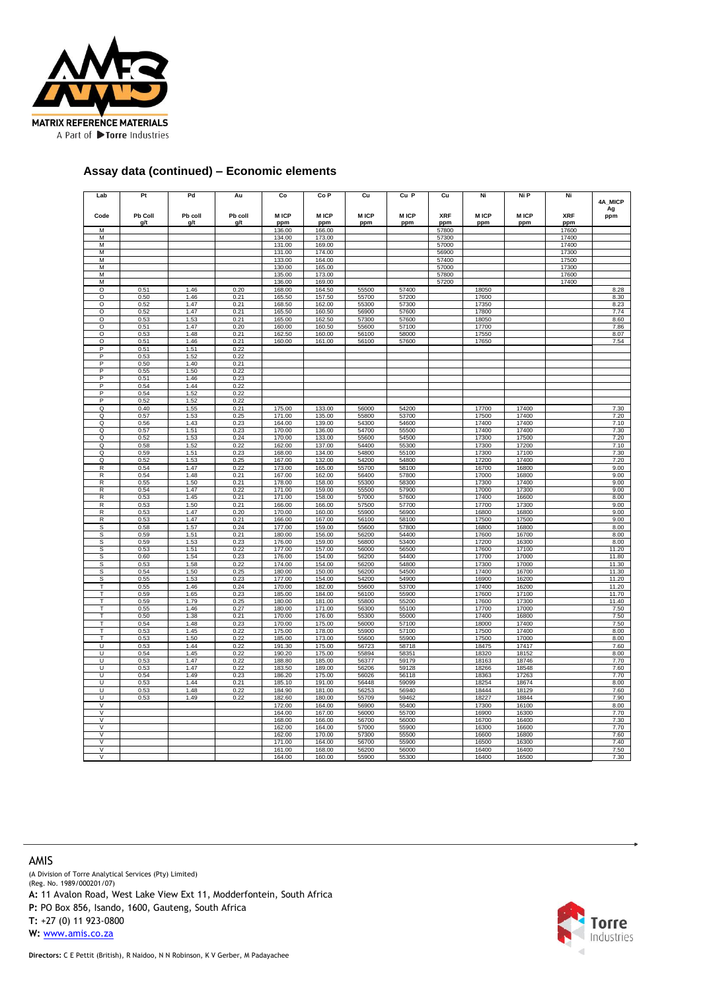

#### **Assay data (continued) – Economic elements**

| Lab                          | Pt           | Pd           | Au           | Co               | Co <sub>P</sub>  | Cu             | Cu P           | Cu             | Ni             | Ni P           | Ni             |                |
|------------------------------|--------------|--------------|--------------|------------------|------------------|----------------|----------------|----------------|----------------|----------------|----------------|----------------|
|                              |              |              |              |                  |                  |                |                |                |                |                |                | 4A MICP        |
| Code                         | Pb Coll      | Pb coll      | Pb coll      | <b>MICP</b>      | <b>MICP</b>      | <b>MICP</b>    | <b>MICP</b>    | <b>XRF</b>     | M ICP          | <b>MICP</b>    | <b>XRF</b>     | Ag<br>ppm      |
|                              | g/t          | g/t          | g/t          | ppm              | ppm              | ppm            | ppm            | ppm            | ppm            | ppm            | ppm            |                |
| M                            |              |              |              | 136.00           | 166.00           |                |                | 57800          |                |                | 17600          |                |
| M                            |              |              |              | 134.00           | 173.00           |                |                | 57300          |                |                | 17400          |                |
| M                            |              |              |              | 131.00           | 169.00           |                |                | 57000          |                |                | 17400          |                |
| M<br>M                       |              |              |              | 131.00<br>133.00 | 174.00<br>164.00 |                |                | 56900<br>57400 |                |                | 17300<br>17500 |                |
| M                            |              |              |              | 130.00           | 165.00           |                |                | 57000          |                |                | 17300          |                |
| M                            |              |              |              | 135.00           | 173.00           |                |                | 57800          |                |                | 17600          |                |
| М                            |              |              |              | 136.00           | 169.00           |                |                | 57200          |                |                | 17400          |                |
| Ō                            | 0.51         | 1.46         | 0.20         | 168.00           | 164.50           | 55500          | 57400          |                | 18050          |                |                | 8.28           |
| Ō                            | 0.50         | 1.46         | 0.21         | 165.50           | 157.50           | 55700          | 57200          |                | 17600          |                |                | 8.30           |
| O<br>O                       | 0.52<br>0.52 | 1.47<br>1.47 | 0.21<br>0.21 | 168.50<br>165.50 | 162.00<br>160.50 | 55300<br>56900 | 57300<br>57600 |                | 17350<br>17800 |                |                | 8.23<br>7.74   |
| Ō                            | 0.53         | 1.53         | 0.21         | 165.00           | 162.50           | 57300          | 57600          |                | 18050          |                |                | 8.60           |
| Ō                            | 0.51         | 1.47         | 0.20         | 160.00           | 160.50           | 55600          | 57100          |                | 17700          |                |                | 7.86           |
| O                            | 0.53         | 1.48         | 0.21         | 162.50           | 160.00           | 56100          | 58000          |                | 17550          |                |                | 8.07           |
| Ō                            | 0.51         | 1.46         | 0.21         | 160.00           | 161.00           | 56100          | 57600          |                | 17650          |                |                | 7.54           |
| P                            | 0.51         | 1.51         | 0.22         |                  |                  |                |                |                |                |                |                |                |
| P<br>P                       | 0.53<br>0.50 | 1.52<br>1.40 | 0.22<br>0.21 |                  |                  |                |                |                |                |                |                |                |
| P                            | 0.55         | 1.50         | 0.22         |                  |                  |                |                |                |                |                |                |                |
| P                            | 0.51         | 1.46         | 0.23         |                  |                  |                |                |                |                |                |                |                |
| P                            | 0.54         | 1.44         | 0.22         |                  |                  |                |                |                |                |                |                |                |
| P                            | 0.54         | 1.52         | 0.22         |                  |                  |                |                |                |                |                |                |                |
| P                            | 0.52         | 1.52         | 0.22         |                  |                  |                |                |                |                |                |                |                |
| Q<br>$\Omega$                | 0.40<br>0.57 | 1.55<br>1.53 | 0.21<br>0.25 | 175.00<br>171.00 | 133.00<br>135.00 | 56000<br>55800 | 54200<br>53700 |                | 17700<br>17500 | 17400<br>17400 |                | 7.30<br>7.20   |
| Q                            | 0.56         | 1.43         | 0.23         | 164.00           | 139.00           | 54300          | 54600          |                | 17400          | 17400          |                | 7.10           |
| Q                            | 0.57         | 1.51         | 0.23         | 170.00           | 136.00           | 54700          | 55500          |                | 17400          | 17400          |                | 7.30           |
| Q                            | 0.52         | 1.53         | 0.24         | 170.00           | 133.00           | 55600          | 54500          |                | 17300          | 17500          |                | 7.20           |
| Q                            | 0.58         | 1.52         | 0.22         | 162.00           | 137.00           | 54400          | 55300          |                | 17300          | 17200          |                | 7.10           |
| Q                            | 0.59         | 1.51         | 0.23         | 168.00           | 134.00           | 54800          | 55100          |                | 17300          | 17100          |                | 7.30           |
| Q                            | 0.52         | 1.53         | 0.25         | 167.00           | 132.00           | 54200          | 54800          |                | 17200          | 17400          |                | 7.20           |
| ${\sf R}$<br>R               | 0.54         | 1.47         | 0.22         | 173.00           | 165.00           | 55700          | 58100          |                | 16700<br>17000 | 16800<br>16800 |                | 9.00           |
| $\overline{R}$               | 0.54<br>0.55 | 1.48<br>1.50 | 0.21<br>0.21 | 167.00<br>178.00 | 162.00<br>158.00 | 56400<br>55300 | 57800<br>58300 |                | 17300          | 17400          |                | 9.00<br>9.00   |
| R                            | 0.54         | 1.47         | 0.22         | 171.00           | 159.00           | 55500          | 57900          |                | 17000          | 17300          |                | 9.00           |
| R                            | 0.53         | 1.45         | 0.21         | 171.00           | 158.00           | 57000          | 57600          |                | 17400          | 16600          |                | 8.00           |
| R                            | 0.53         | 1.50         | 0.21         | 166.00           | 166.00           | 57500          | 57700          |                | 17700          | 17300          |                | 9.00           |
| R                            | 0.53         | 1.47         | 0.20         | 170.00           | 160.00           | 55900          | 56900          |                | 16800          | 16800          |                | 9.00           |
| R                            | 0.53         | 1.47         | 0.21         | 166.00           | 167.00           | 56100          | 58100          |                | 17500          | 17500          |                | 9.00           |
| S<br>S                       | 0.58<br>0.59 | 1.57<br>1.51 | 0.24<br>0.21 | 177.00<br>180.00 | 159.00<br>156.00 | 55600<br>56200 | 57800<br>54400 |                | 16800<br>17600 | 16800<br>16700 |                | 8.00<br>8.00   |
| S                            | 0.59         | 1.53         | 0.23         | 176.00           | 159.00           | 56800          | 53400          |                | 17200          | 16300          |                | 8.00           |
| S                            | 0.53         | 1.51         | 0.22         | 177.00           | 157.00           | 56000          | 56500          |                | 17600          | 17100          |                | 11.20          |
| S                            | 0.60         | 1.54         | 0.23         | 176.00           | 154.00           | 56200          | 54400          |                | 17700          | 17000          |                | 11.80          |
| S                            | 0.53         | 1.58         | 0.22         | 174.00           | 154.00           | 56200          | 54800          |                | 17300          | 17000          |                | 11.30          |
| s                            | 0.54         | 1.50         | 0.25         | 180.00           | 150.00           | 56200          | 54500          |                | 17400          | 16700          |                | 11.30          |
| s<br>т                       | 0.55<br>0.55 | 1.53<br>1.46 | 0.23<br>0.24 | 177.00<br>170.00 | 154.00<br>182.00 | 54200<br>55600 | 54900<br>53700 |                | 16900<br>17400 | 16200<br>16200 |                | 11.20<br>11.20 |
| т                            | 0.59         | 1.65         | 0.23         | 185.00           | 184.00           | 56100          | 55900          |                | 17600          | 17100          |                | 11.70          |
| т                            | 0.59         | 1.79         | 0.25         | 180.00           | 181.00           | 55800          | 55200          |                | 17600          | 17300          |                | 11.40          |
| т                            | 0.55         | 1.46         | 0.27         | 180.00           | 171.00           | 56300          | 55100          |                | 17700          | 17000          |                | 7.50           |
| T                            | 0.50         | 1.38         | 0.21         | 170.00           | 176.00           | 55300          | 55000          |                | 17400          | 16800          |                | 7.50           |
| T                            | 0.54         | 1.48         | 0.23         | 170.00           | 175.00           | 56000          | 57100          |                | 18000          | 17400          |                | 7.50           |
| т<br>т                       | 0.53<br>0.53 | 1.45<br>1.50 | 0.22<br>0.22 | 175.00<br>185.00 | 178.00<br>173.00 | 55900<br>55600 | 57100<br>55900 |                | 17500<br>17500 | 17400<br>17000 |                | 8.00<br>8.00   |
| U                            | 0.53         | 1.44         | 0.22         | 191.30           | 175.00           | 56723          | 58718          |                | 18475          | 17417          |                | 7.60           |
| U                            | 0.54         | 1.45         | 0.22         | 190.20           | 175.00           | 55894          | 58351          |                | 18320          | 18152          |                | 8.00           |
| U                            | 0.53         | 1.47         | 0.22         | 188.80           | 185.00           | 56377          | 59179          |                | 18163          | 18746          |                | 7.70           |
| U                            | 0.53         | 1.47         | 0.22         | 183.50           | 189.00           | 56206          | 59128          |                | 18266          | 18548          |                | 7.60           |
| $\mathbf{H}$                 | 0.54         | 1.49         | 0.23         | 186.20           | 175.00           | 56026          | 56118          |                | 18363          | 17263          |                | 7.70           |
| Ū<br>Ū                       | 0.53<br>0.53 | 1.44<br>1.48 | 0.21<br>0.22 | 185.10<br>184.90 | 191.00<br>181.00 | 56448<br>56253 | 59099<br>56940 |                | 18254<br>18444 | 18674<br>18129 |                | 8.00<br>7.60   |
| U                            | 0.53         | 1.49         | 0.22         | 182.60           | 180.00           | 55709          | 59462          |                | 18227          | 18844          |                | 7.90           |
| V                            |              |              |              | 172.00           | 164.00           | 56900          | 55400          |                | 17300          | 16100          |                | 8.00           |
| V                            |              |              |              | 164.00           | 167.00           | 56000          | 55700          |                | 16900          | 16300          |                | 7.70           |
| V                            |              |              |              | 168.00           | 166.00           | 56700          | 56000          |                | 16700          | 16400          |                | 7.30           |
| V                            |              |              |              | 162.00           | 164.00           | 57000          | 55900          |                | 16300          | 16600          |                | 7.70           |
| V<br>$\overline{\mathsf{v}}$ |              |              |              | 162.00           | 170.00           | 57300          | 55500          |                | 16600          | 16800          |                | 7.60           |
| $\overline{\mathsf{v}}$      |              |              |              | 171.00<br>161.00 | 164.00<br>168.00 | 56700<br>56200 | 55900<br>56000 |                | 16500<br>16400 | 16300<br>16400 |                | 7.40<br>7.50   |
| $\overline{V}$               |              |              |              | 164.00           | 160.00           | 55900          | 55300          |                | 16400          | 16500          |                | 7.30           |

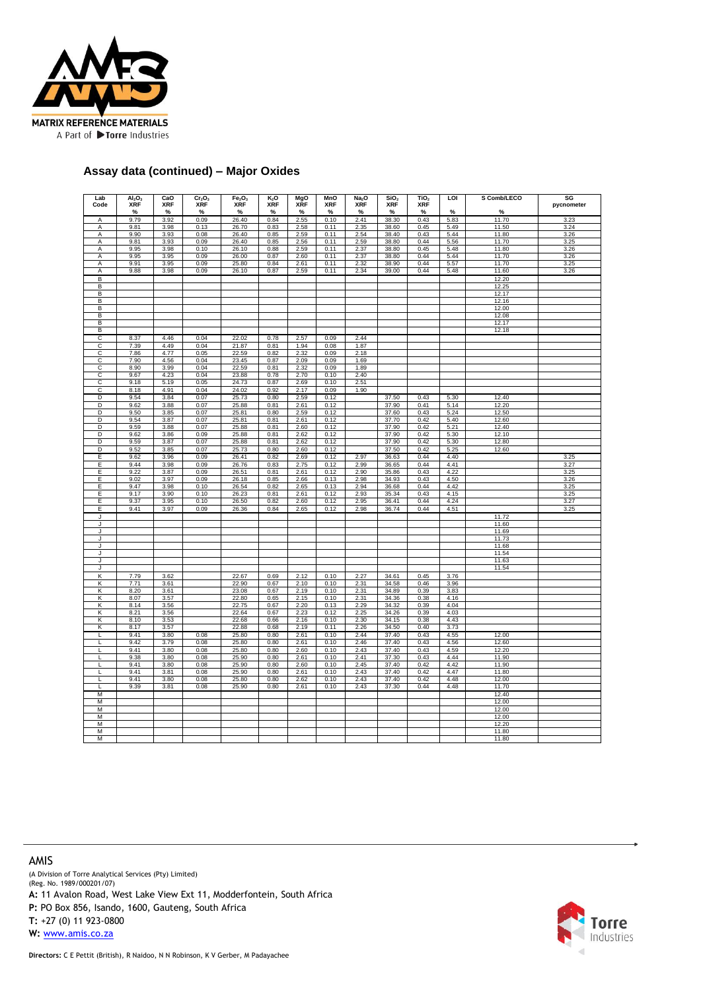

#### **Assay data (continued) – Major Oxides**

| Lab    | AI <sub>2</sub> O <sub>3</sub><br><b>XRF</b> | CaO<br><b>XRF</b> | Cr <sub>2</sub> O <sub>3</sub><br><b>XRF</b> | Fe <sub>2</sub> O <sub>3</sub><br><b>XRF</b> | K2O<br><b>XRF</b> | MgO<br><b>XRF</b> | MnO<br><b>XRF</b> | Na <sub>2</sub> O<br><b>XRF</b> | SiO <sub>2</sub><br><b>XRF</b> | TiO <sub>2</sub><br><b>XRF</b> | <b>LOI</b>   | S Comb/LECO    | SG           |
|--------|----------------------------------------------|-------------------|----------------------------------------------|----------------------------------------------|-------------------|-------------------|-------------------|---------------------------------|--------------------------------|--------------------------------|--------------|----------------|--------------|
| Code   | $\%$                                         | %                 | %                                            | %                                            | $\%$              | $\%$              | %                 | %                               | $\%$                           | %                              | $\%$         | %              | pycnometer   |
| A      | 9.79                                         | 3.92              | 0.09                                         | 26.40                                        | 0.84              | 2.55              | 0.10              | 2.41                            | 38.30                          | 0.43                           | 5.83         | 11.70          | 3.23         |
| A      | 9.81                                         | 3.98              | 0.13                                         | 26.70                                        | 0.83              | 2.58              | 0.11              | 2.35                            | 38.60                          | 0.45                           | 5.49         | 11.50          | 3.24         |
| Α      | 9.90                                         | 3.93              | 0.08                                         | 26.40                                        | 0.85              | 2.59              | 0.11              | 2.54                            | 38.40                          | 0.43                           | 5.44         | 11.80          | 3.26         |
| A<br>A | 9.81<br>9.95                                 | 3.93<br>3.98      | 0.09<br>0.10                                 | 26.40<br>26.10                               | 0.85<br>0.88      | 2.56<br>2.59      | 0.11<br>0.11      | 2.59<br>2.37                    | 38.80<br>38.80                 | 0.44<br>0.45                   | 5.56<br>5.48 | 11.70<br>11.80 | 3.25<br>3.26 |
| Α      | 9.95                                         | 3.95              | 0.09                                         | 26.00                                        | 0.87              | 2.60              | 0.11              | 2.37                            | 38.80                          | 0.44                           | 5.44         | 11.70          | 3.26         |
| Α      | 9.91                                         | 3.95              | 0.09                                         | 25.80                                        | 0.84              | 2.61              | 0.11              | 2.32                            | 38.90                          | 0.44                           | 5.57         | 11.70          | 3.25         |
| A      | 9.88                                         | 3.98              | 0.09                                         | 26.10                                        | 0.87              | 2.59              | 0.11              | 2.34                            | 39.00                          | 0.44                           | 5.48         | 11.60          | 3.26         |
| B      |                                              |                   |                                              |                                              |                   |                   |                   |                                 |                                |                                |              | 12.20          |              |
| В<br>В |                                              |                   |                                              |                                              |                   |                   |                   |                                 |                                |                                |              | 12.25<br>12.17 |              |
| В      |                                              |                   |                                              |                                              |                   |                   |                   |                                 |                                |                                |              | 12.16          |              |
| В      |                                              |                   |                                              |                                              |                   |                   |                   |                                 |                                |                                |              | 12.00          |              |
| В      |                                              |                   |                                              |                                              |                   |                   |                   |                                 |                                |                                |              | 12.08          |              |
| В<br>B |                                              |                   |                                              |                                              |                   |                   |                   |                                 |                                |                                |              | 12.17          |              |
| С      | 8.37                                         | 4.46              | 0.04                                         | 22.02                                        | 0.78              | 2.57              | 0.09              | 2.44                            |                                |                                |              | 12.18          |              |
| C      | 7.39                                         | 4.49              | 0.04                                         | 21.87                                        | 0.81              | 1.94              | 0.08              | 1.87                            |                                |                                |              |                |              |
| C      | 7.86                                         | 4.77              | 0.05                                         | 22.59                                        | 0.82              | 2.32              | 0.09              | 2.18                            |                                |                                |              |                |              |
| C      | 7.90                                         | 4.56              | 0.04                                         | 23.45                                        | 0.87              | 2.09              | 0.09              | 1.69                            |                                |                                |              |                |              |
| C      | 8.90                                         | 3.99              | 0.04                                         | 22.59                                        | 0.81              | 2.32              | 0.09              | 1.89                            |                                |                                |              |                |              |
| с<br>C | 9.67<br>9.18                                 | 4.23<br>5.19      | 0.04<br>0.05                                 | 23.88<br>24.73                               | 0.78<br>0.87      | 2.70<br>2.69      | 0.10<br>0.10      | 2.40<br>2.51                    |                                |                                |              |                |              |
| C      | 8.18                                         | 4.91              | 0.04                                         | 24.02                                        | 0.92              | 2.17              | 0.09              | 1.90                            |                                |                                |              |                |              |
| D      | 9.54                                         | 3.84              | 0.07                                         | 25.73                                        | 0.80              | 2.59              | 0.12              |                                 | 37.50                          | 0.43                           | 5.30         | 12.40          |              |
| D      | 9.62                                         | 3.88              | 0.07                                         | 25.88                                        | 0.81              | 2.61              | 0.12              |                                 | 37.90                          | 0.41                           | 5.14         | 12.20          |              |
| D      | 9.50                                         | 3.85              | 0.07                                         | 25.81                                        | 0.80              | 2.59              | 0.12              |                                 | 37.60                          | 0.43                           | 5.24         | 12.50          |              |
| D<br>D | 9.54<br>9.59                                 | 3.87<br>3.88      | 0.07<br>0.07                                 | 25.81<br>25.88                               | 0.81<br>0.81      | 2.61<br>2.60      | 0.12<br>0.12      |                                 | 37.70<br>37.90                 | 0.42<br>0.42                   | 5.40<br>5.21 | 12.60<br>12.40 |              |
| D      | 9.62                                         | 3.86              | 0.09                                         | 25.88                                        | 0.81              | 2.62              | 0.12              |                                 | 37.90                          | 0.42                           | 5.30         | 12.10          |              |
| D      | 9.59                                         | 3.87              | 0.07                                         | 25.88                                        | 0.81              | 2.62              | 0.12              |                                 | 37.90                          | 0.42                           | 5.30         | 12.80          |              |
| D      | 9.52                                         | 3.85              | 0.07                                         | 25.73                                        | 0.80              | 2.60              | 0.12              |                                 | 37.50                          | 0.42                           | 5.25         | 12.60          |              |
| E      | 9.62                                         | 3.96              | 0.09                                         | 26.41                                        | 0.82              | 2.69              | 0.12              | 2.97                            | 36.63                          | 0.44                           | 4.40         |                | 3.25         |
| Ε<br>Ε | 9.44<br>9.22                                 | 3.98<br>3.87      | 0.09<br>0.09                                 | 26.76<br>26.51                               | 0.83<br>0.81      | 2.75<br>2.61      | 0.12<br>0.12      | 2.99<br>2.90                    | 36.65<br>35.86                 | 0.44<br>0.43                   | 4.41<br>4.22 |                | 3.27<br>3.25 |
| Ε      | 9.02                                         | 3.97              | 0.09                                         | 26.18                                        | 0.85              | 2.66              | 0.13              | 2.98                            | 34.93                          | 0.43                           | 4.50         |                | 3.26         |
| Е      | 9.47                                         | 3.98              | 0.10                                         | 26.54                                        | 0.82              | 2.65              | 0.13              | 2.94                            | 36.68                          | 0.44                           | 4.42         |                | 3.25         |
| Ε      | 9.17                                         | 3.90              | 0.10                                         | 26.23                                        | 0.81              | 2.61              | 0.12              | 2.93                            | 35.34                          | 0.43                           | 4.15         |                | 3.25         |
| E      | 9.37                                         | 3.95              | 0.10                                         | 26.50                                        | 0.82              | 2.60              | 0.12              | 2.95                            | 36.41                          | 0.44                           | 4.24         |                | 3.27         |
| Ε<br>J | 9.41                                         | 3.97              | 0.09                                         | 26.36                                        | 0.84              | 2.65              | 0.12              | 2.98                            | 36.74                          | 0.44                           | 4.51         | 11.72          | 3.25         |
| J      |                                              |                   |                                              |                                              |                   |                   |                   |                                 |                                |                                |              | 11.60          |              |
| J      |                                              |                   |                                              |                                              |                   |                   |                   |                                 |                                |                                |              | 11.69          |              |
| J      |                                              |                   |                                              |                                              |                   |                   |                   |                                 |                                |                                |              | 11.73          |              |
| J      |                                              |                   |                                              |                                              |                   |                   |                   |                                 |                                |                                |              | 11.68          |              |
| J<br>J |                                              |                   |                                              |                                              |                   |                   |                   |                                 |                                |                                |              | 11.54<br>11.63 |              |
| J.     |                                              |                   |                                              |                                              |                   |                   |                   |                                 |                                |                                |              | 11.54          |              |
| Κ      | 7.79                                         | 3.62              |                                              | 22.67                                        | 0.69              | 2.12              | 0.10              | 2.27                            | 34.61                          | 0.45                           | 3.76         |                |              |
| κ      | 7.71                                         | 3.61              |                                              | 22.90                                        | 0.67              | 2.10              | 0.10              | 2.31                            | 34.58                          | 0.46                           | 3.96         |                |              |
| Κ<br>Κ | 8.20<br>8.07                                 | 3.61<br>3.57      |                                              | 23.08<br>22.80                               | 0.67<br>0.65      | 2.19<br>2.15      | 0.10<br>0.10      | 2.31<br>2.31                    | 34.89<br>34.36                 | 0.39<br>0.38                   | 3.83<br>4.16 |                |              |
| κ      | 8.14                                         | 3.56              |                                              | 22.75                                        | 0.67              | 2.20              | 0.13              | 2.29                            | 34.32                          | 0.39                           | 4.04         |                |              |
| K      | 8.21                                         | 3.56              |                                              | 22.64                                        | 0.67              | 2.23              | 0.12              | 2.25                            | 34.26                          | 0.39                           | 4.03         |                |              |
| Κ      | 8.10                                         | 3.53              |                                              | 22.68                                        | 0.66              | 2.16              | 0.10              | 2.30                            | 34.15                          | 0.38                           | 4.43         |                |              |
| Κ      | 8.17                                         | 3.57              |                                              | 22.88                                        | 0.68              | 2.19              | 0.11              | 2.26                            | 34.50                          | 0.40                           | 3.73         |                |              |
| Г<br>L | 9.41<br>9.42                                 | 3.80<br>3.79      | 0.08<br>0.08                                 | 25.80<br>25.80                               | 0.80<br>0.80      | 2.61<br>2.61      | 0.10<br>0.10      | 2.44<br>2.46                    | 37.40<br>37.40                 | 0.43<br>0.43                   | 4.55<br>4.56 | 12.00<br>12.60 |              |
|        | 9.41                                         | 3.80              | 0.08                                         | 25.80                                        | 0.80              | 2.60              | 0.10              | 2.43                            | 37.40                          | 0.43                           | 4.59         | 12.20          |              |
| Г      | 9.38                                         | 3.80              | 0.08                                         | 25.90                                        | 0.80              | 2.61              | 0.10              | 2.41                            | 37.30                          | 0.43                           | 4.44         | 11.90          |              |
| L      | 9.41                                         | 3.80              | 0.08                                         | 25.90                                        | 0.80              | 2.60              | 0.10              | 2.45                            | 37.40                          | 0.42                           | 4.42         | 11.90          |              |
| L<br>Г | 9.41<br>9.41                                 | 3.81<br>3.80      | 0.08<br>0.08                                 | 25.90<br>25.80                               | 0.80<br>0.80      | 2.61<br>2.62      | 0.10<br>0.10      | 2.43<br>2.43                    | 37.40<br>37.40                 | 0.42<br>0.42                   | 4.47<br>4.48 | 11.80<br>12.00 |              |
| L      | 9.39                                         | 3.81              | 0.08                                         | 25.90                                        | 0.80              | 2.61              | 0.10              | 2.43                            | 37.30                          | 0.44                           | 4.48         | 11.70          |              |
| M      |                                              |                   |                                              |                                              |                   |                   |                   |                                 |                                |                                |              | 12.40          |              |
| M      |                                              |                   |                                              |                                              |                   |                   |                   |                                 |                                |                                |              | 12.00          |              |
| M      |                                              |                   |                                              |                                              |                   |                   |                   |                                 |                                |                                |              | 12.00          |              |
| М<br>M |                                              |                   |                                              |                                              |                   |                   |                   |                                 |                                |                                |              | 12.00          |              |
| M      |                                              |                   |                                              |                                              |                   |                   |                   |                                 |                                |                                |              | 12.20<br>11.80 |              |
| M      |                                              |                   |                                              |                                              |                   |                   |                   |                                 |                                |                                |              | 11.80          |              |

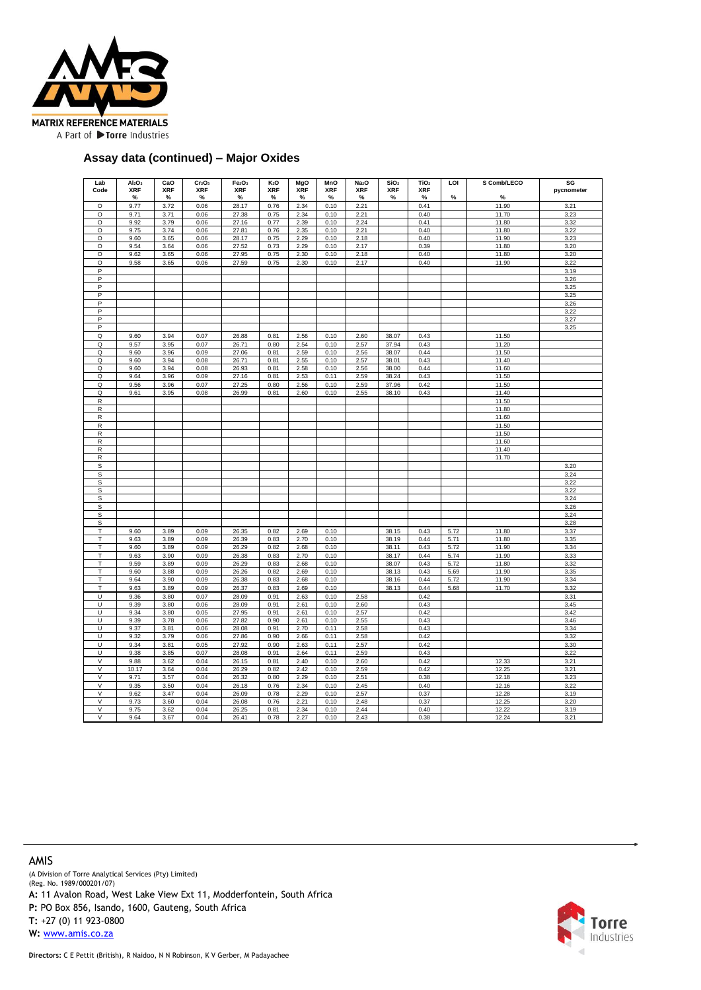

#### **Assay data (continued) – Major Oxides**

| Lab                          | AI <sub>2</sub> O <sub>3</sub> | CaO                | Cr <sub>2</sub> O <sub>3</sub> | Fe <sub>2</sub> O <sub>3</sub> | $K_2O$          | MgO                | MnO             | Na <sub>2</sub> O | SiO <sub>2</sub> | TiO <sub>2</sub> | LOI          | S Comb/LECO    | SG           |
|------------------------------|--------------------------------|--------------------|--------------------------------|--------------------------------|-----------------|--------------------|-----------------|-------------------|------------------|------------------|--------------|----------------|--------------|
| Code                         | <b>XRF</b><br>$\%$             | <b>XRF</b><br>$\%$ | <b>XRF</b><br>%                | <b>XRF</b><br>%                | <b>XRF</b><br>% | <b>XRF</b><br>$\%$ | <b>XRF</b><br>% | <b>XRF</b><br>%   | <b>XRF</b><br>%  | <b>XRF</b><br>%  | %            | %              | pycnometer   |
| $\circ$                      | 9.77                           | 3.72               | 0.06                           | 28.17                          | 0.76            | 2.34               | 0.10            | 2.21              |                  | 0.41             |              | 11.90          | 3.21         |
| O                            | 9.71                           | 3.71               | 0.06                           | 27.38                          | 0.75            | 2.34               | 0.10            | 2.21              |                  | 0.40             |              | 11.70          | 3.23         |
| O                            | 9.92                           | 3.79               | 0.06                           | 27.16                          | 0.77            | 2.39               | 0.10            | 2.24              |                  | 0.41             |              | 11.80          | 3.32         |
| $\circ$                      | 9.75                           | 3.74               | 0.06                           | 27.81                          | 0.76            | 2.35               | 0.10            | 2.21              |                  | 0.40             |              | 11.80          | 3.22         |
| $\circ$                      | 9.60                           | 3.65               | 0.06                           | 28.17                          | 0.75            | 2.29               | 0.10            | 2.18              |                  | 0.40             |              | 11.90          | 3.23         |
| $\circ$                      | 9.54                           | 3.64               | 0.06                           | 27.52                          | 0.73            | 2.29               | 0.10            | 2.17              |                  | 0.39             |              | 11.80          | 3.20         |
| $\circ$                      | 9.62                           | 3.65               | 0.06                           | 27.95                          | 0.75            | 2.30               | 0.10            | 2.18              |                  | 0.40             |              | 11.80          | 3.20         |
| $\circ$<br>P                 | 9.58                           | 3.65               | 0.06                           | 27.59                          | 0.75            | 2.30               | 0.10            | 2.17              |                  | 0.40             |              | 11.90          | 3.22         |
| P                            |                                |                    |                                |                                |                 |                    |                 |                   |                  |                  |              |                | 3.19<br>3.26 |
| P                            |                                |                    |                                |                                |                 |                    |                 |                   |                  |                  |              |                | 3.25         |
| P                            |                                |                    |                                |                                |                 |                    |                 |                   |                  |                  |              |                | 3.25         |
| P                            |                                |                    |                                |                                |                 |                    |                 |                   |                  |                  |              |                | 3.26         |
| P                            |                                |                    |                                |                                |                 |                    |                 |                   |                  |                  |              |                | 3.22         |
| P                            |                                |                    |                                |                                |                 |                    |                 |                   |                  |                  |              |                | 3.27         |
| $\mathsf P$                  |                                |                    |                                |                                |                 |                    |                 |                   |                  |                  |              |                | 3.25         |
| $\mathsf Q$                  | 9.60                           | 3.94               | 0.07                           | 26.88                          | 0.81            | 2.56               | 0.10            | 2.60              | 38.07            | 0.43             |              | 11.50          |              |
| Q                            | 9.57                           | 3.95               | 0.07                           | 26.71                          | 0.80            | 2.54               | 0.10            | 2.57              | 37.94            | 0.43             |              | 11.20          |              |
| Q<br>Q                       | 9.60<br>9.60                   | 3.96<br>3.94       | 0.09<br>0.08                   | 27.06<br>26.71                 | 0.81<br>0.81    | 2.59<br>2.55       | 0.10<br>0.10    | 2.56<br>2.57      | 38.07<br>38.01   | 0.44<br>0.43     |              | 11.50<br>11.40 |              |
| Q                            | 9.60                           | 3.94               | 0.08                           | 26.93                          | 0.81            | 2.58               | 0.10            | 2.56              | 38.00            | 0.44             |              | 11.60          |              |
| Q                            | 9.64                           | 3.96               | 0.09                           | 27.16                          | 0.81            | 2.53               | 0.11            | 2.59              | 38.24            | 0.43             |              | 11.50          |              |
| Q                            | 9.56                           | 3.96               | 0.07                           | 27.25                          | 0.80            | 2.56               | 0.10            | 2.59              | 37.96            | 0.42             |              | 11.50          |              |
| Q                            | 9.61                           | 3.95               | 0.08                           | 26.99                          | 0.81            | 2.60               | 0.10            | 2.55              | 38.10            | 0.43             |              | 11.40          |              |
| $\overline{R}$               |                                |                    |                                |                                |                 |                    |                 |                   |                  |                  |              | 11.50          |              |
| R                            |                                |                    |                                |                                |                 |                    |                 |                   |                  |                  |              | 11.80          |              |
| $\mathsf{R}$                 |                                |                    |                                |                                |                 |                    |                 |                   |                  |                  |              | 11.60          |              |
| $\mathsf{R}$                 |                                |                    |                                |                                |                 |                    |                 |                   |                  |                  |              | 11.50          |              |
| $\mathsf{R}$                 |                                |                    |                                |                                |                 |                    |                 |                   |                  |                  |              | 11.50          |              |
| $\mathsf R$                  |                                |                    |                                |                                |                 |                    |                 |                   |                  |                  |              | 11.60          |              |
| $\mathsf{R}$<br>$\mathsf{R}$ |                                |                    |                                |                                |                 |                    |                 |                   |                  |                  |              | 11.40<br>11.70 |              |
| $\mathsf S$                  |                                |                    |                                |                                |                 |                    |                 |                   |                  |                  |              |                | 3.20         |
| S                            |                                |                    |                                |                                |                 |                    |                 |                   |                  |                  |              |                | 3.24         |
| S                            |                                |                    |                                |                                |                 |                    |                 |                   |                  |                  |              |                | 3.22         |
| S                            |                                |                    |                                |                                |                 |                    |                 |                   |                  |                  |              |                | 3.22         |
| s                            |                                |                    |                                |                                |                 |                    |                 |                   |                  |                  |              |                | 3.24         |
| S                            |                                |                    |                                |                                |                 |                    |                 |                   |                  |                  |              |                | 3.26         |
| s                            |                                |                    |                                |                                |                 |                    |                 |                   |                  |                  |              |                | 3.24         |
| S                            |                                |                    |                                |                                |                 |                    |                 |                   |                  |                  |              |                | 3.28         |
| T                            | 9.60                           | 3.89               | 0.09                           | 26.35                          | 0.82            | 2.69               | 0.10            |                   | 38.15            | 0.43             | 5.72         | 11.80          | 3.37         |
| T                            | 9.63                           | 3.89               | 0.09                           | 26.39                          | 0.83            | 2.70               | 0.10            |                   | 38.19            | 0.44             | 5.71         | 11.80          | 3.35         |
| T<br>T                       | 9.60                           | 3.89               | 0.09                           | 26.29                          | 0.82            | 2.68               | 0.10            |                   | 38.11            | 0.43             | 5.72         | 11.90          | 3.34         |
| T                            | 9.63<br>9.59                   | 3.90<br>3.89       | 0.09<br>0.09                   | 26.38<br>26.29                 | 0.83<br>0.83    | 2.70<br>2.68       | 0.10<br>0.10    |                   | 38.17<br>38.07   | 0.44<br>0.43     | 5.74<br>5.72 | 11.90<br>11.80 | 3.33<br>3.32 |
| T                            | 9.60                           | 3.88               | 0.09                           | 26.26                          | 0.82            | 2.69               | 0.10            |                   | 38.13            | 0.43             | 5.69         | 11.90          | 3.35         |
| T                            | 9.64                           | 3.90               | 0.09                           | 26.38                          | 0.83            | 2.68               | 0.10            |                   | 38.16            | 0.44             | 5.72         | 11.90          | 3.34         |
| T                            | 9.63                           | 3.89               | 0.09                           | 26.37                          | 0.83            | 2.69               | 0.10            |                   | 38.13            | 0.44             | 5.68         | 11.70          | 3.32         |
| U                            | 9.36                           | 3.80               | 0.07                           | 28.09                          | 0.91            | 2.63               | 0.10            | 2.58              |                  | 0.42             |              |                | 3.31         |
| U                            | 9.39                           | 3.80               | 0.06                           | 28.09                          | 0.91            | 2.61               | 0.10            | 2.60              |                  | 0.43             |              |                | 3.45         |
| U                            | 9.34                           | 3.80               | 0.05                           | 27.95                          | 0.91            | 2.61               | 0.10            | 2.57              |                  | 0.42             |              |                | 3.42         |
| U                            | 9.39                           | 3.78               | 0.06                           | 27.82                          | 0.90            | 2.61               | 0.10            | 2.55              |                  | 0.43             |              |                | 3.46         |
| U                            | 9.37                           | 3.81               | 0.06                           | 28.08                          | 0.91            | 2.70               | 0.11            | 2.58              |                  | 0.43             |              |                | 3.34         |
| U                            | 9.32                           | 3.79               | 0.06                           | 27.86                          | 0.90            | 2.66               | 0.11            | 2.58              |                  | 0.42             |              |                | 3.32         |
| U<br>U                       | 9.34<br>9.38                   | 3.81<br>3.85       | 0.05<br>0.07                   | 27.92<br>28.08                 | 0.90<br>0.91    | 2.63<br>2.64       | 0.11<br>0.11    | 2.57<br>2.59      |                  | 0.42<br>0.43     |              |                | 3.30<br>3.22 |
| $\vee$                       | 9.88                           | 3.62               | 0.04                           | 26.15                          | 0.81            | 2.40               | 0.10            | 2.60              |                  | 0.42             |              | 12.33          | 3.21         |
| $\vee$                       | 10.17                          | 3.64               | 0.04                           | 26.29                          | 0.82            | 2.42               | 0.10            | 2.59              |                  | 0.42             |              | 12.25          | 3.21         |
| $\overline{\mathsf{v}}$      | 9.71                           | 3.57               | 0.04                           | 26.32                          | 0.80            | 2.29               | 0.10            | 2.51              |                  | 0.38             |              | 12.18          | 3.23         |
| $\vee$                       | 9.35                           | 3.50               | 0.04                           | 26.18                          | 0.76            | 2.34               | 0.10            | 2.45              |                  | 0.40             |              | 12.16          | 3.22         |
| $\vee$                       | 9.62                           | 3.47               | 0.04                           | 26.09                          | 0.78            | 2.29               | 0.10            | 2.57              |                  | 0.37             |              | 12.28          | 3.19         |
| V                            | 9.73                           | 3.60               | 0.04                           | 26.08                          | 0.76            | 2.21               | 0.10            | 2.48              |                  | 0.37             |              | 12.25          | 3.20         |
| $\vee$                       | 9.75                           | 3.62               | 0.04                           | 26.25                          | 0.81            | 2.34               | 0.10            | 2.44              |                  | 0.40             |              | 12.22          | 3.19         |
| $\overline{\mathsf{v}}$      | 9.64                           | 3.67               | 0.04                           | 26.41                          | 0.78            | 2.27               | 0.10            | 2.43              |                  | 0.38             |              | 12.24          | 3.21         |

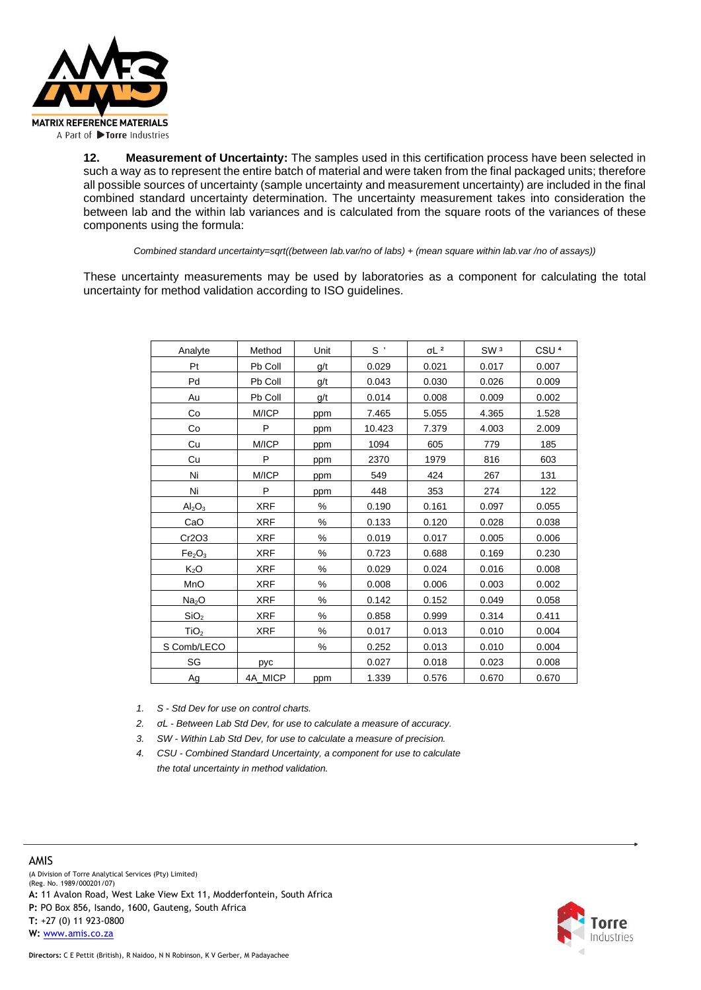

**12. Measurement of Uncertainty:** The samples used in this certification process have been selected in such a way as to represent the entire batch of material and were taken from the final packaged units; therefore all possible sources of uncertainty (sample uncertainty and measurement uncertainty) are included in the final combined standard uncertainty determination. The uncertainty measurement takes into consideration the between lab and the within lab variances and is calculated from the square roots of the variances of these components using the formula:

*Combined standard uncertainty=sqrt((between lab.var/no of labs) + (mean square within lab.var /no of assays))*

These uncertainty measurements may be used by laboratories as a component for calculating the total uncertainty for method validation according to ISO guidelines.

| Analyte                        | Method     | Unit | $S^{\prime}$ | $\sigma L$ <sup>2</sup> | SW <sub>3</sub> | CSU <sup>4</sup> |
|--------------------------------|------------|------|--------------|-------------------------|-----------------|------------------|
| Pt                             | Pb Coll    | g/t  | 0.029        | 0.021                   | 0.017           | 0.007            |
| Pd                             | Pb Coll    | g/t  | 0.043        | 0.030                   | 0.026           | 0.009            |
| Au                             | Pb Coll    | g/t  | 0.014        | 0.008                   | 0.009           | 0.002            |
| Co                             | M/ICP      | ppm  | 7.465        | 5.055                   | 4.365           | 1.528            |
| Co                             | P          | ppm  | 10.423       | 7.379                   | 4.003           | 2.009            |
| Cu                             | M/ICP      | ppm  | 1094         | 605                     | 779             | 185              |
| Cu                             | P          | ppm  | 2370         | 1979                    | 816             | 603              |
| Ni                             | M/ICP      | ppm  | 549          | 424                     | 267             | 131              |
| Ni                             | P          | ppm  | 448          | 353                     | 274             | 122              |
| $\text{Al}_2\text{O}_3$        | <b>XRF</b> | ℅    | 0.190        | 0.161                   | 0.097           | 0.055            |
| CaO                            | <b>XRF</b> | ℅    | 0.133        | 0.120                   | 0.028           | 0.038            |
| Cr2O3                          | <b>XRF</b> | ℅    | 0.019        | 0.017                   | 0.005           | 0.006            |
| Fe <sub>2</sub> O <sub>3</sub> | <b>XRF</b> | ℅    | 0.723        | 0.688                   | 0.169           | 0.230            |
| $K_2O$                         | <b>XRF</b> | $\%$ | 0.029        | 0.024                   | 0.016           | 0.008            |
| MnO                            | <b>XRF</b> | ℅    | 0.008        | 0.006                   | 0.003           | 0.002            |
| Na <sub>2</sub> O              | <b>XRF</b> | ℅    | 0.142        | 0.152                   | 0.049           | 0.058            |
| SiO <sub>2</sub>               | <b>XRF</b> | ℅    | 0.858        | 0.999                   | 0.314           | 0.411            |
| TiO <sub>2</sub>               | <b>XRF</b> | %    | 0.017        | 0.013                   | 0.010           | 0.004            |
| S Comb/LECO                    |            | ℅    | 0.252        | 0.013                   | 0.010           | 0.004            |
| SG                             | pyc        |      | 0.027        | 0.018                   | 0.023           | 0.008            |
| Ag                             | 4A MICP    | ppm  | 1.339        | 0.576                   | 0.670           | 0.670            |

*1. S - Std Dev for use on control charts.*

*2. σL - Between Lab Std Dev, for use to calculate a measure of accuracy.*

*3. SW - Within Lab Std Dev, for use to calculate a measure of precision.*

*4. CSU - Combined Standard Uncertainty, a component for use to calculate the total uncertainty in method validation.*

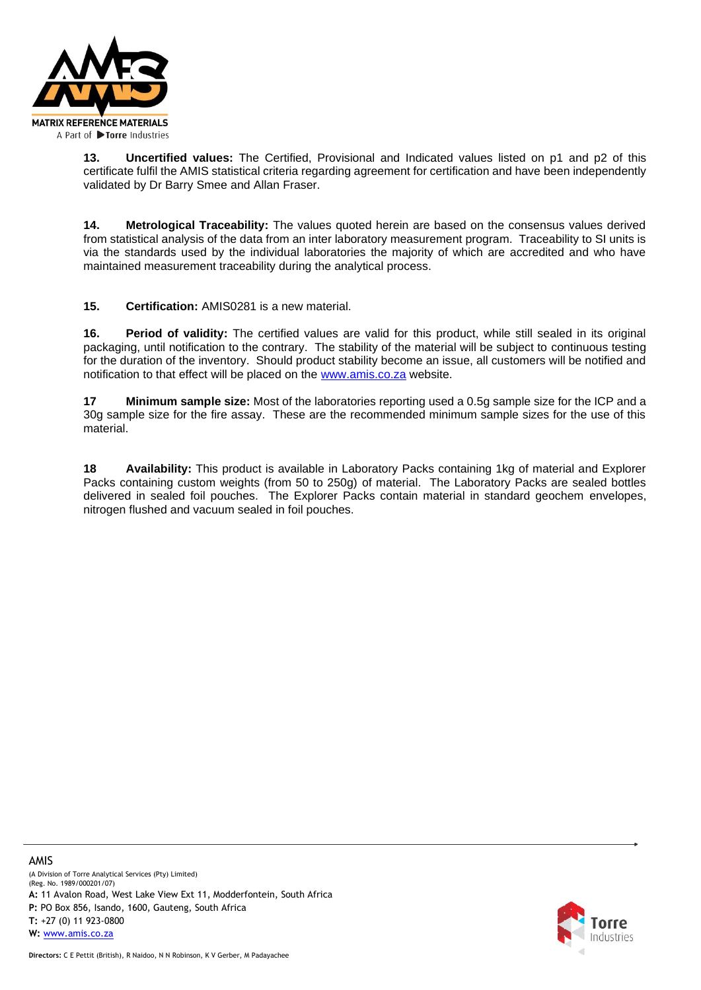

**13. Uncertified values:** The Certified, Provisional and Indicated values listed on p1 and p2 of this certificate fulfil the AMIS statistical criteria regarding agreement for certification and have been independently validated by Dr Barry Smee and Allan Fraser.

**14. Metrological Traceability:** The values quoted herein are based on the consensus values derived from statistical analysis of the data from an inter laboratory measurement program. Traceability to SI units is via the standards used by the individual laboratories the majority of which are accredited and who have maintained measurement traceability during the analytical process.

**15. Certification:** AMIS0281 is a new material.

**16. Period of validity:** The certified values are valid for this product, while still sealed in its original packaging, until notification to the contrary. The stability of the material will be subject to continuous testing for the duration of the inventory. Should product stability become an issue, all customers will be notified and notification to that effect will be placed on the [www.amis.co.za](http://www.amis.co.za/) website.

**17 Minimum sample size:** Most of the laboratories reporting used a 0.5g sample size for the ICP and a 30g sample size for the fire assay. These are the recommended minimum sample sizes for the use of this material.

**18 Availability:** This product is available in Laboratory Packs containing 1kg of material and Explorer Packs containing custom weights (from 50 to 250g) of material. The Laboratory Packs are sealed bottles delivered in sealed foil pouches. The Explorer Packs contain material in standard geochem envelopes, nitrogen flushed and vacuum sealed in foil pouches.

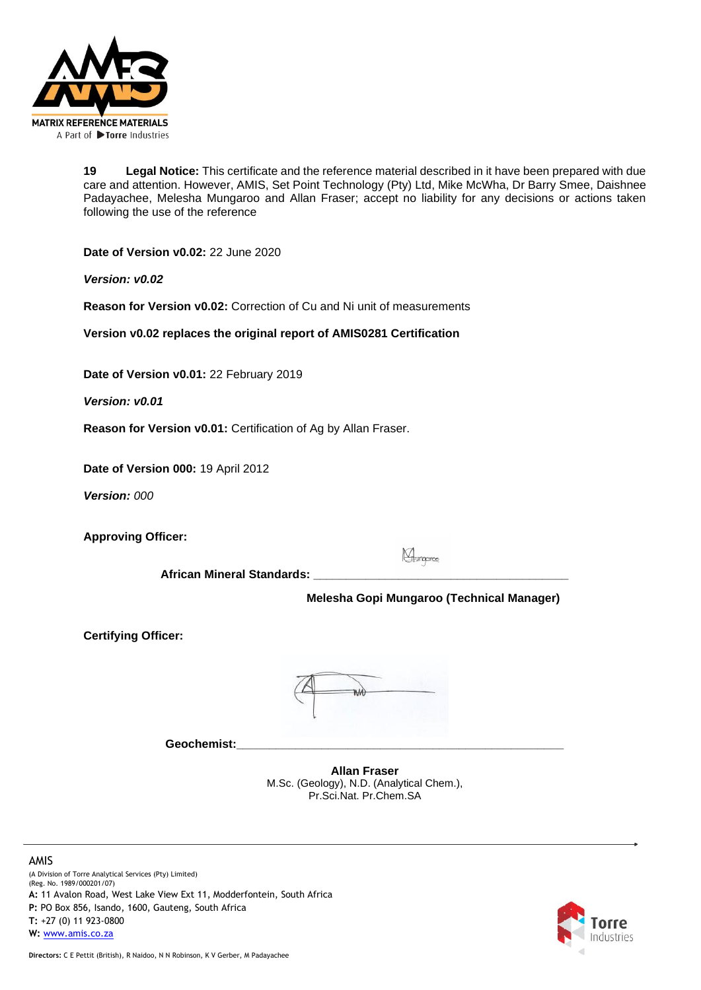

**19 Legal Notice:** This certificate and the reference material described in it have been prepared with due care and attention. However, AMIS, Set Point Technology (Pty) Ltd, Mike McWha, Dr Barry Smee, Daishnee Padayachee, Melesha Mungaroo and Allan Fraser; accept no liability for any decisions or actions taken following the use of the reference

**Date of Version v0.02:** 22 June 2020

*Version: v0.02*

**Reason for Version v0.02:** Correction of Cu and Ni unit of measurements

**Version v0.02 replaces the original report of AMIS0281 Certification** 

**Date of Version v0.01:** 22 February 2019

*Version: v0.01*

**Reason for Version v0.01:** Certification of Ag by Allan Fraser.

**Date of Version 000:** 19 April 2012

*Version: 000*

**Approving Officer:** 

Mungaree

**African Mineral Standards: \_\_\_\_\_\_\_\_\_\_\_\_\_\_\_\_\_\_\_\_\_\_\_\_\_\_\_\_\_\_\_\_\_\_\_\_\_\_\_**

 **Melesha Gopi Mungaroo (Technical Manager)**

**Certifying Officer:**



**Geochemist:\_\_\_\_\_\_\_\_\_\_\_\_\_\_\_\_\_\_\_\_\_\_\_\_\_\_\_\_\_\_\_\_\_\_\_\_\_\_\_\_\_\_\_\_\_\_\_\_\_\_**

**Allan Fraser** M.Sc. (Geology), N.D. (Analytical Chem.), Pr.Sci.Nat. Pr.Chem.SA

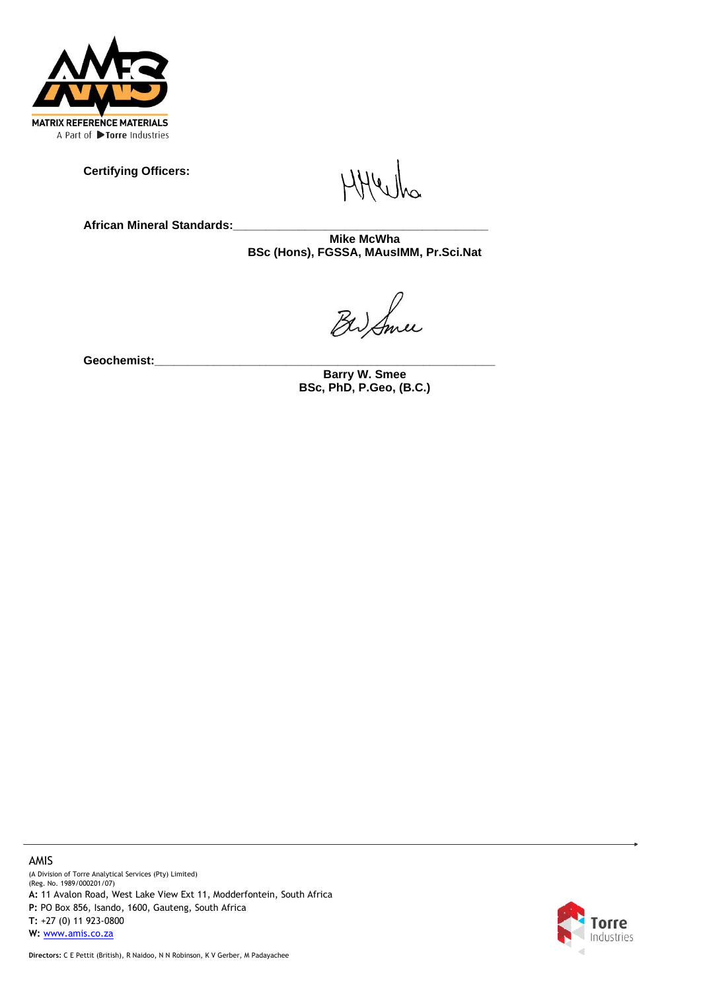

**Certifying Officers:** 

**African Mineral Standards:\_\_\_\_\_\_\_\_\_\_\_\_\_\_\_\_\_\_\_\_\_\_\_\_\_\_\_\_\_\_\_\_\_\_\_\_\_\_\_**

**Mike McWha BSc (Hons), FGSSA, MAusIMM, Pr.Sci.Nat**

BW Sme

**Geochemist:\_\_\_\_\_\_\_\_\_\_\_\_\_\_\_\_\_\_\_\_\_\_\_\_\_\_\_\_\_\_\_\_\_\_\_\_\_\_\_\_\_\_\_\_\_\_\_\_\_\_\_\_**

**Barry W. Smee BSc, PhD, P.Geo, (B.C.)**